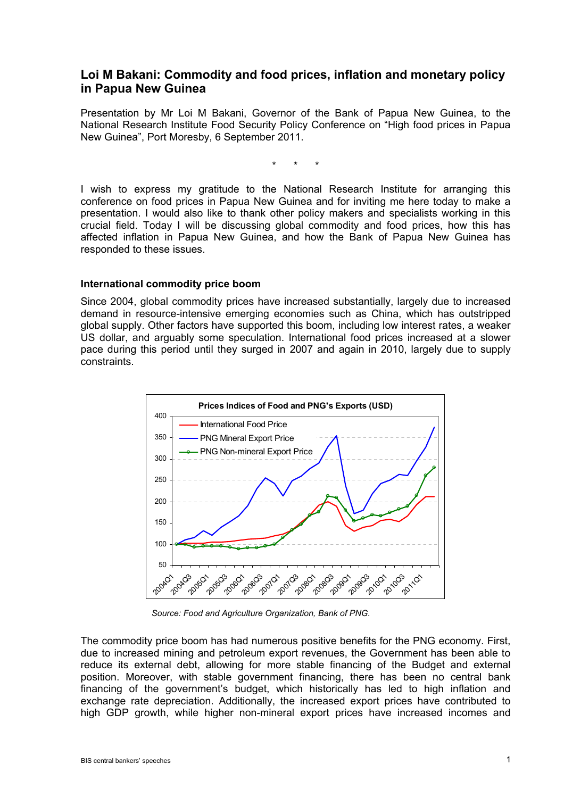# **Loi M Bakani: Commodity and food prices, inflation and monetary policy in Papua New Guinea**

Presentation by Mr Loi M Bakani, Governor of the Bank of Papua New Guinea, to the National Research Institute Food Security Policy Conference on "High food prices in Papua New Guinea", Port Moresby, 6 September 2011.

\* \* \*

I wish to express my gratitude to the National Research Institute for arranging this conference on food prices in Papua New Guinea and for inviting me here today to make a presentation. I would also like to thank other policy makers and specialists working in this crucial field. Today I will be discussing global commodity and food prices, how this has affected inflation in Papua New Guinea, and how the Bank of Papua New Guinea has responded to these issues.

### **International commodity price boom**

Since 2004, global commodity prices have increased substantially, largely due to increased demand in resource-intensive emerging economies such as China, which has outstripped global supply. Other factors have supported this boom, including low interest rates, a weaker US dollar, and arguably some speculation. International food prices increased at a slower pace during this period until they surged in 2007 and again in 2010, largely due to supply constraints.



*Source: Food and Agriculture Organization, Bank of PNG.* 

The commodity price boom has had numerous positive benefits for the PNG economy. First, due to increased mining and petroleum export revenues, the Government has been able to reduce its external debt, allowing for more stable financing of the Budget and external position. Moreover, with stable government financing, there has been no central bank financing of the government's budget, which historically has led to high inflation and exchange rate depreciation. Additionally, the increased export prices have contributed to high GDP growth, while higher non-mineral export prices have increased incomes and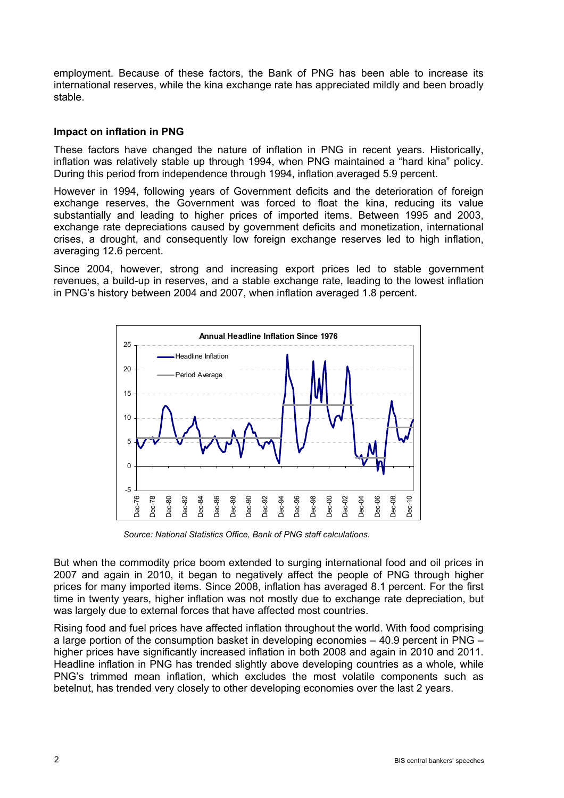employment. Because of these factors, the Bank of PNG has been able to increase its international reserves, while the kina exchange rate has appreciated mildly and been broadly stable.

### **Impact on inflation in PNG**

These factors have changed the nature of inflation in PNG in recent years. Historically, inflation was relatively stable up through 1994, when PNG maintained a "hard kina" policy. During this period from independence through 1994, inflation averaged 5.9 percent.

However in 1994, following years of Government deficits and the deterioration of foreign exchange reserves, the Government was forced to float the kina, reducing its value substantially and leading to higher prices of imported items. Between 1995 and 2003, exchange rate depreciations caused by government deficits and monetization, international crises, a drought, and consequently low foreign exchange reserves led to high inflation, averaging 12.6 percent.

Since 2004, however, strong and increasing export prices led to stable government revenues, a build-up in reserves, and a stable exchange rate, leading to the lowest inflation in PNG's history between 2004 and 2007, when inflation averaged 1.8 percent.



*Source: National Statistics Office, Bank of PNG staff calculations.* 

But when the commodity price boom extended to surging international food and oil prices in 2007 and again in 2010, it began to negatively affect the people of PNG through higher prices for many imported items. Since 2008, inflation has averaged 8.1 percent. For the first time in twenty years, higher inflation was not mostly due to exchange rate depreciation, but was largely due to external forces that have affected most countries.

Rising food and fuel prices have affected inflation throughout the world. With food comprising a large portion of the consumption basket in developing economies – 40.9 percent in PNG – higher prices have significantly increased inflation in both 2008 and again in 2010 and 2011. Headline inflation in PNG has trended slightly above developing countries as a whole, while PNG's trimmed mean inflation, which excludes the most volatile components such as betelnut, has trended very closely to other developing economies over the last 2 years.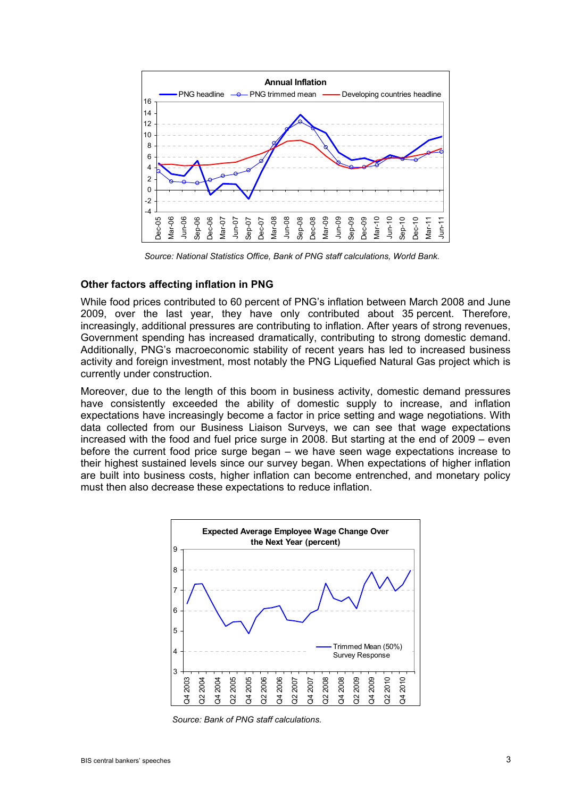

*Source: National Statistics Office, Bank of PNG staff calculations, World Bank.* 

#### **Other factors affecting inflation in PNG**

While food prices contributed to 60 percent of PNG's inflation between March 2008 and June 2009, over the last year, they have only contributed about 35 percent. Therefore, increasingly, additional pressures are contributing to inflation. After years of strong revenues, Government spending has increased dramatically, contributing to strong domestic demand. Additionally, PNG's macroeconomic stability of recent years has led to increased business activity and foreign investment, most notably the PNG Liquefied Natural Gas project which is currently under construction.

Moreover, due to the length of this boom in business activity, domestic demand pressures have consistently exceeded the ability of domestic supply to increase, and inflation expectations have increasingly become a factor in price setting and wage negotiations. With data collected from our Business Liaison Surveys, we can see that wage expectations increased with the food and fuel price surge in 2008. But starting at the end of 2009 – even before the current food price surge began – we have seen wage expectations increase to their highest sustained levels since our survey began. When expectations of higher inflation are built into business costs, higher inflation can become entrenched, and monetary policy must then also decrease these expectations to reduce inflation.



*Source: Bank of PNG staff calculations.*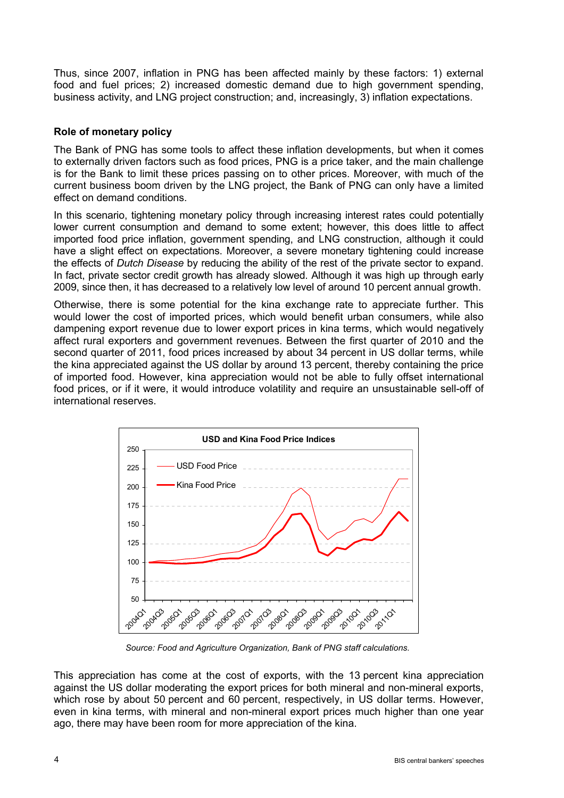Thus, since 2007, inflation in PNG has been affected mainly by these factors: 1) external food and fuel prices; 2) increased domestic demand due to high government spending, business activity, and LNG project construction; and, increasingly, 3) inflation expectations.

## **Role of monetary policy**

The Bank of PNG has some tools to affect these inflation developments, but when it comes to externally driven factors such as food prices, PNG is a price taker, and the main challenge is for the Bank to limit these prices passing on to other prices. Moreover, with much of the current business boom driven by the LNG project, the Bank of PNG can only have a limited effect on demand conditions.

In this scenario, tightening monetary policy through increasing interest rates could potentially lower current consumption and demand to some extent; however, this does little to affect imported food price inflation, government spending, and LNG construction, although it could have a slight effect on expectations. Moreover, a severe monetary tightening could increase the effects of *Dutch Disease* by reducing the ability of the rest of the private sector to expand. In fact, private sector credit growth has already slowed. Although it was high up through early 2009, since then, it has decreased to a relatively low level of around 10 percent annual growth.

Otherwise, there is some potential for the kina exchange rate to appreciate further. This would lower the cost of imported prices, which would benefit urban consumers, while also dampening export revenue due to lower export prices in kina terms, which would negatively affect rural exporters and government revenues. Between the first quarter of 2010 and the second quarter of 2011, food prices increased by about 34 percent in US dollar terms, while the kina appreciated against the US dollar by around 13 percent, thereby containing the price of imported food. However, kina appreciation would not be able to fully offset international food prices, or if it were, it would introduce volatility and require an unsustainable sell-off of international reserves.



*Source: Food and Agriculture Organization, Bank of PNG staff calculations.* 

This appreciation has come at the cost of exports, with the 13 percent kina appreciation against the US dollar moderating the export prices for both mineral and non-mineral exports, which rose by about 50 percent and 60 percent, respectively, in US dollar terms. However, even in kina terms, with mineral and non-mineral export prices much higher than one year ago, there may have been room for more appreciation of the kina.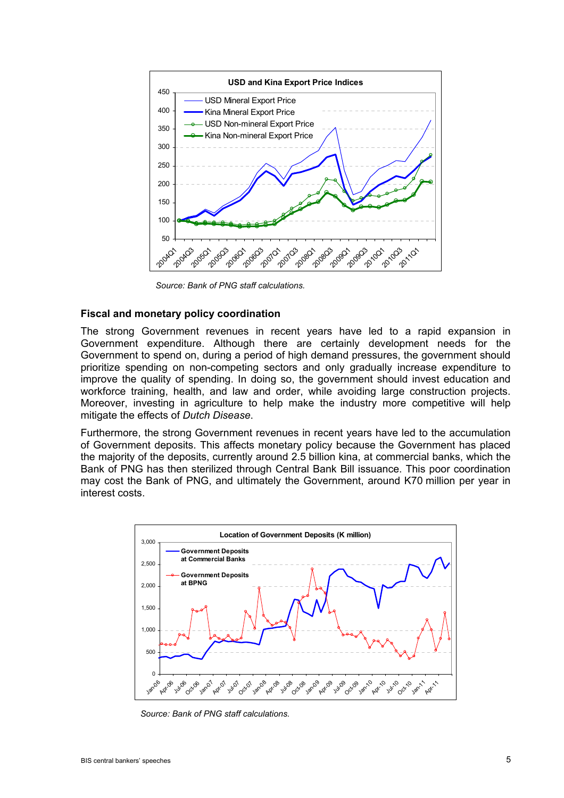

*Source: Bank of PNG staff calculations.* 

#### **Fiscal and monetary policy coordination**

The strong Government revenues in recent years have led to a rapid expansion in Government expenditure. Although there are certainly development needs for the Government to spend on, during a period of high demand pressures, the government should prioritize spending on non-competing sectors and only gradually increase expenditure to improve the quality of spending. In doing so, the government should invest education and workforce training, health, and law and order, while avoiding large construction projects. Moreover, investing in agriculture to help make the industry more competitive will help mitigate the effects of *Dutch Disease*.

Furthermore, the strong Government revenues in recent years have led to the accumulation of Government deposits. This affects monetary policy because the Government has placed the majority of the deposits, currently around 2.5 billion kina, at commercial banks, which the Bank of PNG has then sterilized through Central Bank Bill issuance. This poor coordination may cost the Bank of PNG, and ultimately the Government, around K70 million per year in interest costs.



*Source: Bank of PNG staff calculations.*